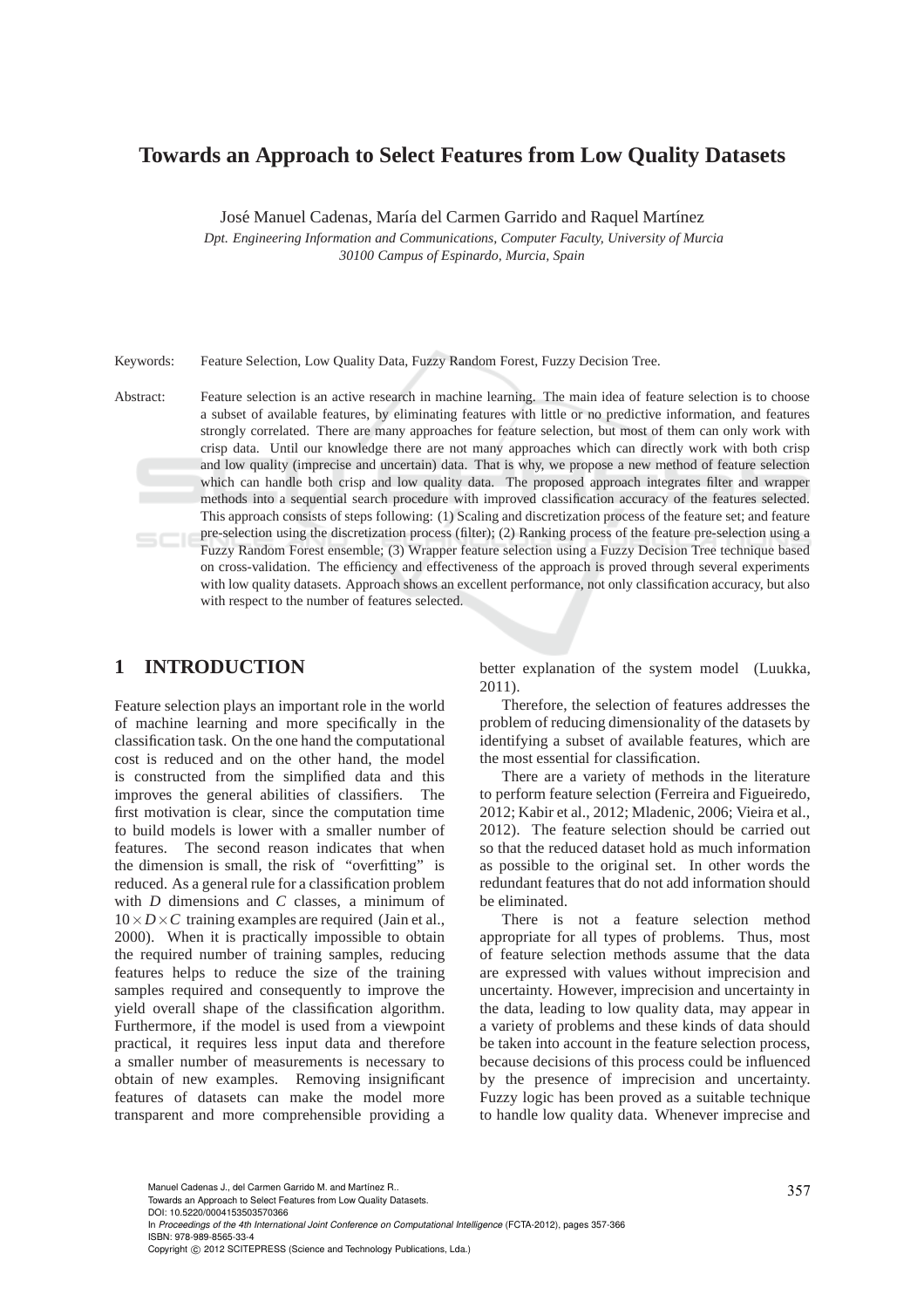# **Towards an Approach to Select Features from Low Quality Datasets**

José Manuel Cadenas, María del Carmen Garrido and Raquel Martínez

*Dpt. Engineering Information and Communications, Computer Faculty, University of Murcia 30100 Campus of Espinardo, Murcia, Spain*

Keywords: Feature Selection, Low Quality Data, Fuzzy Random Forest, Fuzzy Decision Tree.

Abstract: Feature selection is an active research in machine learning. The main idea of feature selection is to choose a subset of available features, by eliminating features with little or no predictive information, and features strongly correlated. There are many approaches for feature selection, but most of them can only work with crisp data. Until our knowledge there are not many approaches which can directly work with both crisp and low quality (imprecise and uncertain) data. That is why, we propose a new method of feature selection which can handle both crisp and low quality data. The proposed approach integrates filter and wrapper methods into a sequential search procedure with improved classification accuracy of the features selected. This approach consists of steps following: (1) Scaling and discretization process of the feature set; and feature pre-selection using the discretization process (filter); (2) Ranking process of the feature pre-selection using a Fuzzy Random Forest ensemble; (3) Wrapper feature selection using a Fuzzy Decision Tree technique based on cross-validation. The efficiency and effectiveness of the approach is proved through several experiments with low quality datasets. Approach shows an excellent performance, not only classification accuracy, but also with respect to the number of features selected.

## **1 INTRODUCTION**

Feature selection plays an important role in the world of machine learning and more specifically in the classification task. On the one hand the computational cost is reduced and on the other hand, the model is constructed from the simplified data and this improves the general abilities of classifiers. The first motivation is clear, since the computation time to build models is lower with a smaller number of features. The second reason indicates that when the dimension is small, the risk of "overfitting" is reduced. As a general rule for a classification problem with *D* dimensions and *C* classes, a minimum of  $10 \times D \times C$  training examples are required (Jain et al., 2000). When it is practically impossible to obtain the required number of training samples, reducing features helps to reduce the size of the training samples required and consequently to improve the yield overall shape of the classification algorithm. Furthermore, if the model is used from a viewpoint practical, it requires less input data and therefore a smaller number of measurements is necessary to obtain of new examples. Removing insignificant features of datasets can make the model more transparent and more comprehensible providing a better explanation of the system model (Luukka, 2011).

Therefore, the selection of features addresses the problem of reducing dimensionality of the datasets by identifying a subset of available features, which are the most essential for classification.

There are a variety of methods in the literature to perform feature selection (Ferreira and Figueiredo, 2012; Kabir et al., 2012; Mladenic, 2006; Vieira et al., 2012). The feature selection should be carried out so that the reduced dataset hold as much information as possible to the original set. In other words the redundant features that do not add information should be eliminated.

There is not a feature selection method appropriate for all types of problems. Thus, most of feature selection methods assume that the data are expressed with values without imprecision and uncertainty. However, imprecision and uncertainty in the data, leading to low quality data, may appear in a variety of problems and these kinds of data should be taken into account in the feature selection process, because decisions of this process could be influenced by the presence of imprecision and uncertainty. Fuzzy logic has been proved as a suitable technique to handle low quality data. Whenever imprecise and

Manuel Cadenas J., del Carmen Garrido M. and Martínez R..<br>Towards an Approach to Select Features from Low Quality Datasets.

DOI: 10.5220/0004153503570366

In *Proceedings of the 4th International Joint Conference on Computational Intelligence* (FCTA-2012), pages 357-366 ISBN: 978-989-8565-33-4

Copyright © 2012 SCITEPRESS (Science and Technology Publications, Lda.)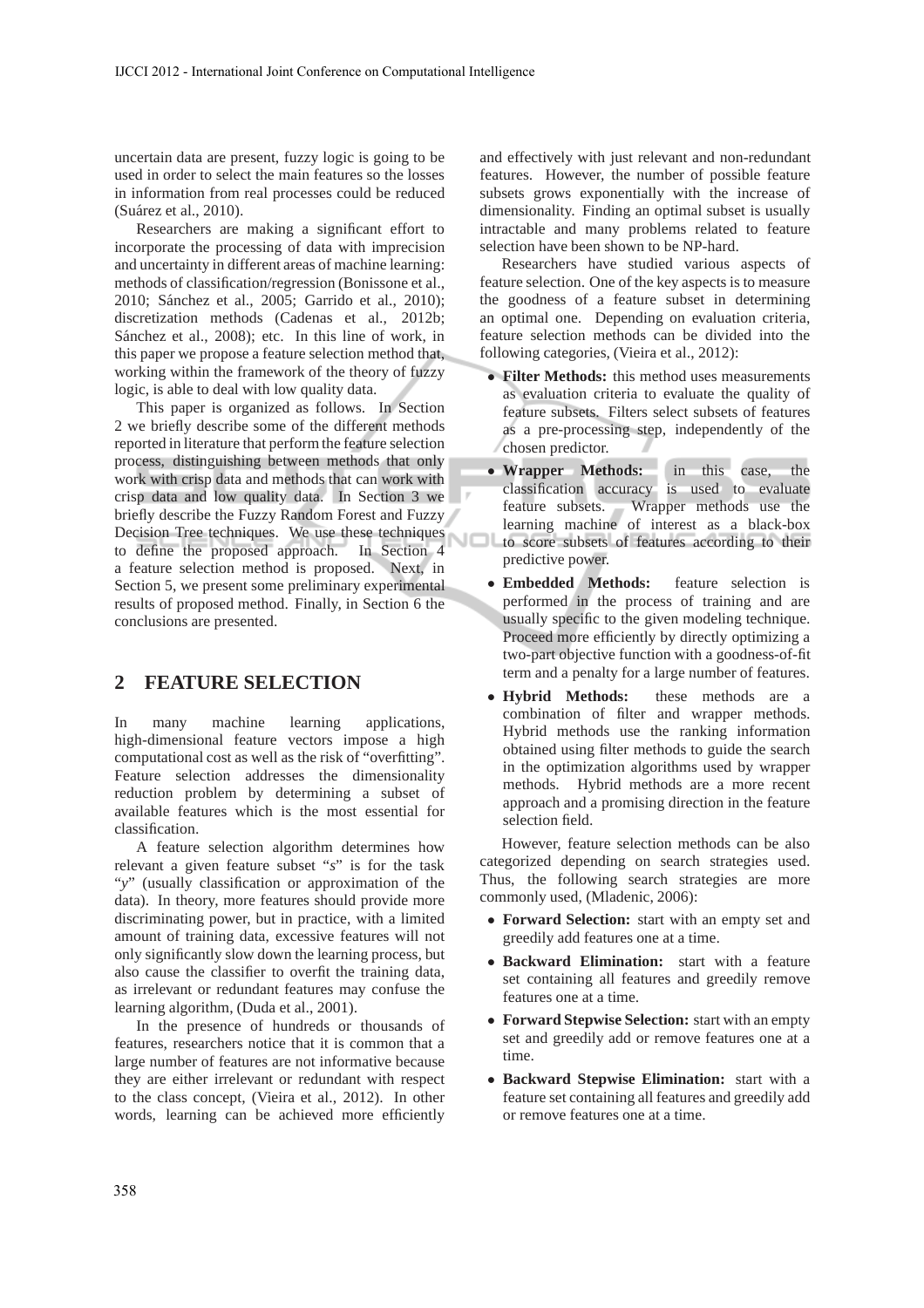uncertain data are present, fuzzy logic is going to be used in order to select the main features so the losses in information from real processes could be reduced (Suárez et al., 2010).

Researchers are making a significant effort to incorporate the processing of data with imprecision and uncertainty in different areas of machine learning: methods of classification/regression (Bonissone et al., 2010; Sánchez et al., 2005; Garrido et al., 2010); discretization methods (Cadenas et al., 2012b; Sánchez et al., 2008); etc. In this line of work, in this paper we propose a feature selection method that, working within the framework of the theory of fuzzy logic, is able to deal with low quality data.

This paper is organized as follows. In Section 2 we briefly describe some of the different methods reported in literature that perform the feature selection process, distinguishing between methods that only work with crisp data and methods that can work with crisp data and low quality data. In Section 3 we briefly describe the Fuzzy Random Forest and Fuzzy Decision Tree techniques. We use these techniques to define the proposed approach. In Section 4 a feature selection method is proposed. Next, in Section 5, we present some preliminary experimental results of proposed method. Finally, in Section 6 the conclusions are presented.

## **2 FEATURE SELECTION**

In many machine learning applications, high-dimensional feature vectors impose a high computational cost as well as the risk of "overfitting". Feature selection addresses the dimensionality reduction problem by determining a subset of available features which is the most essential for classification.

A feature selection algorithm determines how relevant a given feature subset "*s*" is for the task "y" (usually classification or approximation of the data). In theory, more features should provide more discriminating power, but in practice, with a limited amount of training data, excessive features will not only significantly slow down the learning process, but also cause the classifier to overfit the training data, as irrelevant or redundant features may confuse the learning algorithm, (Duda et al., 2001).

In the presence of hundreds or thousands of features, researchers notice that it is common that a large number of features are not informative because they are either irrelevant or redundant with respect to the class concept, (Vieira et al., 2012). In other words, learning can be achieved more efficiently

and effectively with just relevant and non-redundant features. However, the number of possible feature subsets grows exponentially with the increase of dimensionality. Finding an optimal subset is usually intractable and many problems related to feature selection have been shown to be NP-hard.

Researchers have studied various aspects of feature selection. One of the key aspects is to measure the goodness of a feature subset in determining an optimal one. Depending on evaluation criteria, feature selection methods can be divided into the following categories, (Vieira et al., 2012):

- **Filter Methods:** this method uses measurements as evaluation criteria to evaluate the quality of feature subsets. Filters select subsets of features as a pre-processing step, independently of the chosen predictor.
- **Wrapper Methods:** in this case, the classification accuracy is used to evaluate feature subsets. Wrapper methods use the learning machine of interest as a black-box to score subsets of features according to their predictive power.
- **Embedded Methods:** feature selection is performed in the process of training and are usually specific to the given modeling technique. Proceed more efficiently by directly optimizing a two-part objective function with a goodness-of-fit term and a penalty for a large number of features.
- **Hybrid Methods:** these methods are a combination of filter and wrapper methods. Hybrid methods use the ranking information obtained using filter methods to guide the search in the optimization algorithms used by wrapper methods. Hybrid methods are a more recent approach and a promising direction in the feature selection field.

However, feature selection methods can be also categorized depending on search strategies used. Thus, the following search strategies are more commonly used, (Mladenic, 2006):

- **Forward Selection:** start with an empty set and greedily add features one at a time.
- **Backward Elimination:** start with a feature set containing all features and greedily remove features one at a time.
- **Forward Stepwise Selection:** start with an empty set and greedily add or remove features one at a time.
- **Backward Stepwise Elimination:** start with a feature set containing all features and greedily add or remove features one at a time.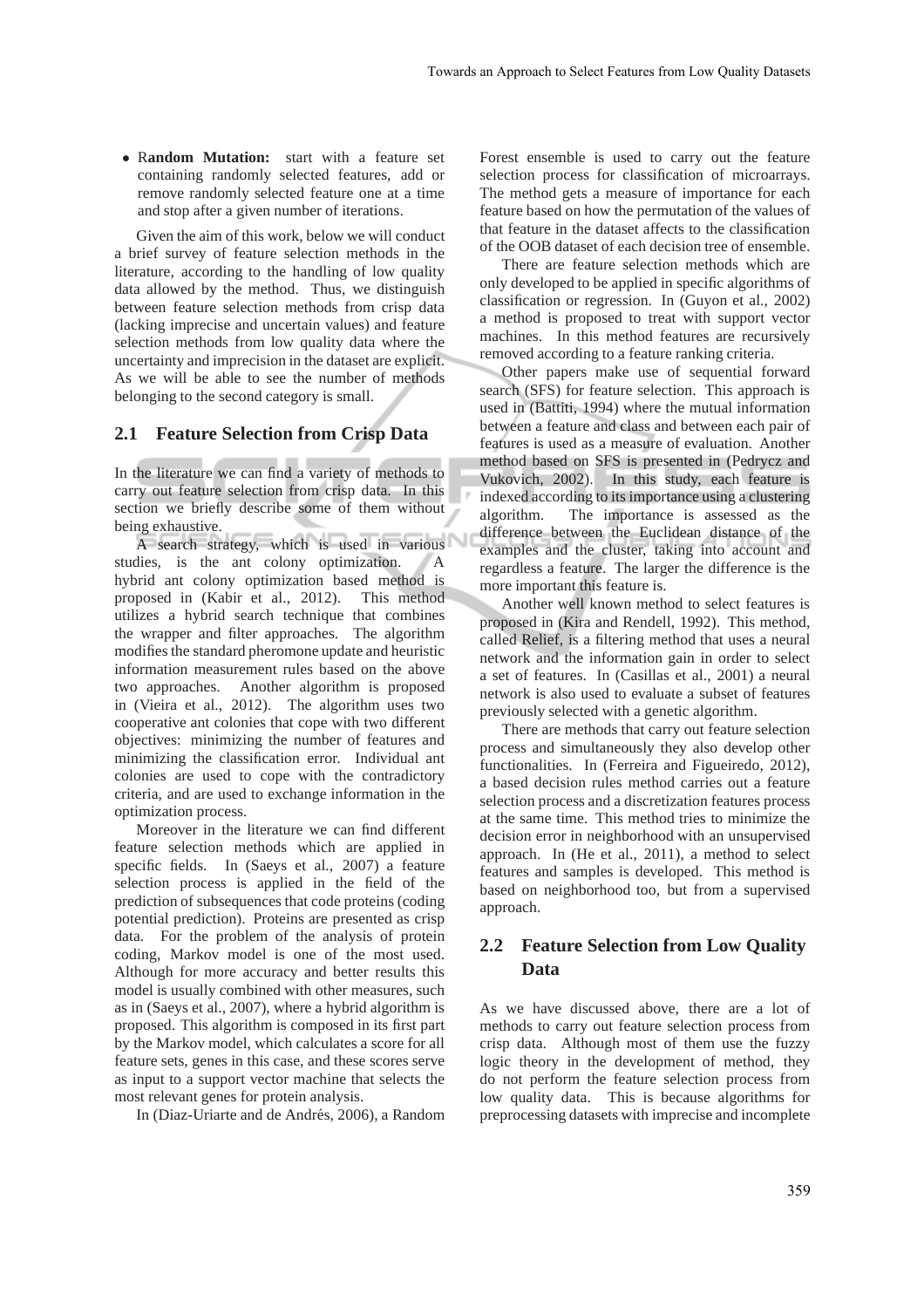• R**andom Mutation:** start with a feature set containing randomly selected features, add or remove randomly selected feature one at a time and stop after a given number of iterations.

Given the aim of this work, below we will conduct a brief survey of feature selection methods in the literature, according to the handling of low quality data allowed by the method. Thus, we distinguish between feature selection methods from crisp data (lacking imprecise and uncertain values) and feature selection methods from low quality data where the uncertainty and imprecision in the dataset are explicit. As we will be able to see the number of methods belonging to the second category is small.

### **2.1 Feature Selection from Crisp Data**

In the literature we can find a variety of methods to carry out feature selection from crisp data. In this section we briefly describe some of them without being exhaustive.

A search strategy, which is used in various studies, is the ant colony optimization. A hybrid ant colony optimization based method is proposed in (Kabir et al., 2012). This method utilizes a hybrid search technique that combines the wrapper and filter approaches. The algorithm modifies the standard pheromone update and heuristic information measurement rules based on the above two approaches. Another algorithm is proposed in (Vieira et al., 2012). The algorithm uses two cooperative ant colonies that cope with two different objectives: minimizing the number of features and minimizing the classification error. Individual ant colonies are used to cope with the contradictory criteria, and are used to exchange information in the optimization process.

Moreover in the literature we can find different feature selection methods which are applied in specific fields. In (Saeys et al., 2007) a feature selection process is applied in the field of the prediction of subsequences that code proteins (coding potential prediction). Proteins are presented as crisp data. For the problem of the analysis of protein coding, Markov model is one of the most used. Although for more accuracy and better results this model is usually combined with other measures, such as in (Saeys et al., 2007), where a hybrid algorithm is proposed. This algorithm is composed in its first part by the Markov model, which calculates a score for all feature sets, genes in this case, and these scores serve as input to a support vector machine that selects the most relevant genes for protein analysis.

In (Diaz-Uriarte and de Andrés, 2006), a Random

Forest ensemble is used to carry out the feature selection process for classification of microarrays. The method gets a measure of importance for each feature based on how the permutation of the values of that feature in the dataset affects to the classification of the OOB dataset of each decision tree of ensemble.

There are feature selection methods which are only developed to be applied in specific algorithms of classification or regression. In (Guyon et al., 2002) a method is proposed to treat with support vector machines. In this method features are recursively removed according to a feature ranking criteria.

Other papers make use of sequential forward search (SFS) for feature selection. This approach is used in (Battiti, 1994) where the mutual information between a feature and class and between each pair of features is used as a measure of evaluation. Another method based on SFS is presented in (Pedrycz and Vukovich, 2002). In this study, each feature is indexed according to its importance using a clustering algorithm. The importance is assessed as the difference between the Euclidean distance of the examples and the cluster, taking into account and regardless a feature. The larger the difference is the more important this feature is.

Another well known method to select features is proposed in (Kira and Rendell, 1992). This method, called Relief, is a filtering method that uses a neural network and the information gain in order to select a set of features. In (Casillas et al., 2001) a neural network is also used to evaluate a subset of features previously selected with a genetic algorithm.

There are methods that carry out feature selection process and simultaneously they also develop other functionalities. In (Ferreira and Figueiredo, 2012), a based decision rules method carries out a feature selection process and a discretization features process at the same time. This method tries to minimize the decision error in neighborhood with an unsupervised approach. In (He et al., 2011), a method to select features and samples is developed. This method is based on neighborhood too, but from a supervised approach.

## **2.2 Feature Selection from Low Quality Data**

As we have discussed above, there are a lot of methods to carry out feature selection process from crisp data. Although most of them use the fuzzy logic theory in the development of method, they do not perform the feature selection process from low quality data. This is because algorithms for preprocessing datasets with imprecise and incomplete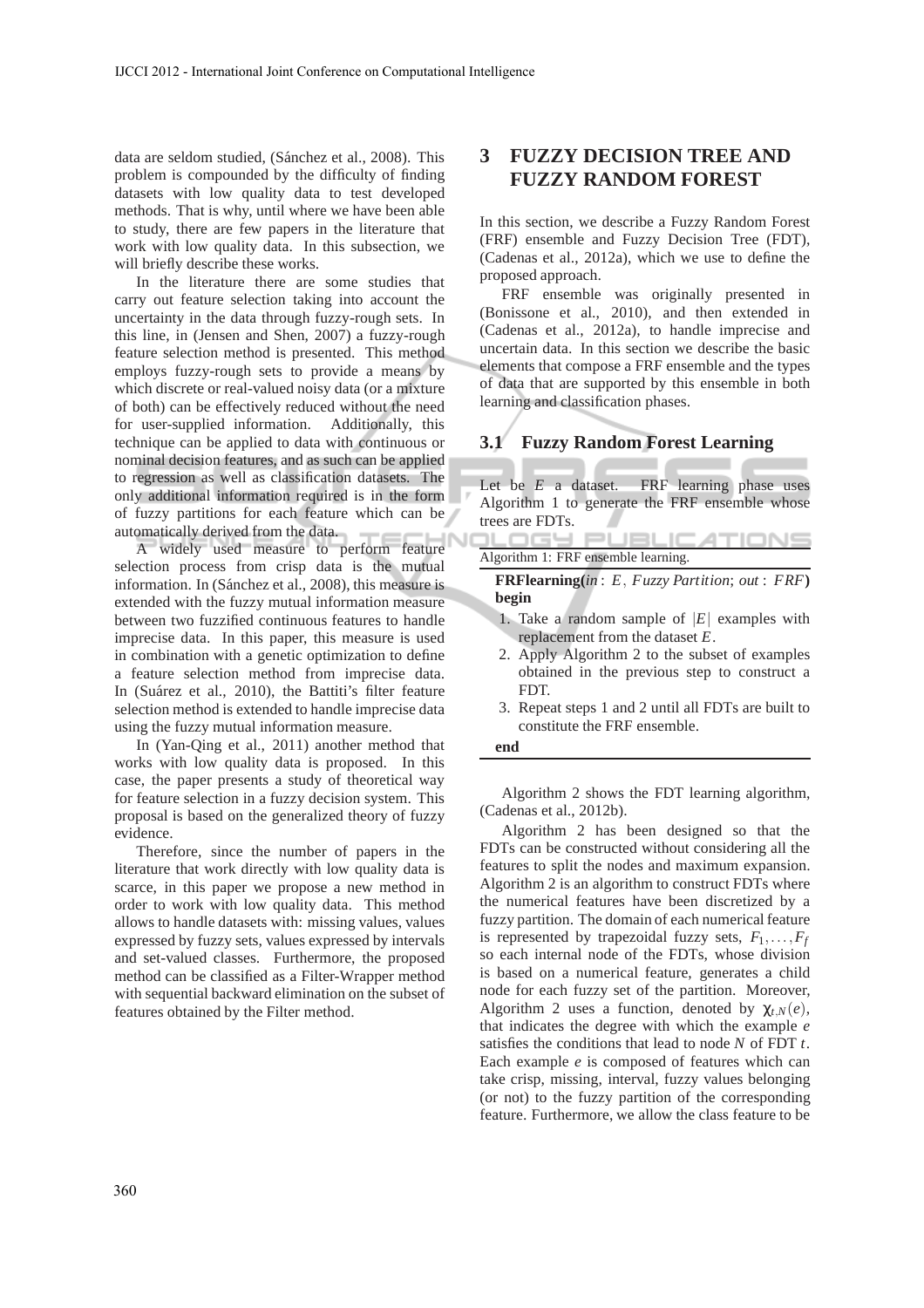data are seldom studied, (Sánchez et al., 2008). This problem is compounded by the difficulty of finding datasets with low quality data to test developed methods. That is why, until where we have been able to study, there are few papers in the literature that work with low quality data. In this subsection, we will briefly describe these works.

In the literature there are some studies that carry out feature selection taking into account the uncertainty in the data through fuzzy-rough sets. In this line, in (Jensen and Shen, 2007) a fuzzy-rough feature selection method is presented. This method employs fuzzy-rough sets to provide a means by which discrete or real-valued noisy data (or a mixture of both) can be effectively reduced without the need for user-supplied information. Additionally, this technique can be applied to data with continuous or nominal decision features, and as such can be applied to regression as well as classification datasets. The only additional information required is in the form of fuzzy partitions for each feature which can be automatically derived from the data.

A widely used measure to perform feature selection process from crisp data is the mutual information. In (Sánchez et al., 2008), this measure is extended with the fuzzy mutual information measure between two fuzzified continuous features to handle imprecise data. In this paper, this measure is used in combination with a genetic optimization to define a feature selection method from imprecise data. In (Suárez et al., 2010), the Battiti's filter feature selection method is extended to handle imprecise data using the fuzzy mutual information measure.

In (Yan-Qing et al., 2011) another method that works with low quality data is proposed. In this case, the paper presents a study of theoretical way for feature selection in a fuzzy decision system. This proposal is based on the generalized theory of fuzzy evidence.

Therefore, since the number of papers in the literature that work directly with low quality data is scarce, in this paper we propose a new method in order to work with low quality data. This method allows to handle datasets with: missing values, values expressed by fuzzy sets, values expressed by intervals and set-valued classes. Furthermore, the proposed method can be classified as a Filter-Wrapper method with sequential backward elimination on the subset of features obtained by the Filter method.

# **3 FUZZY DECISION TREE AND FUZZY RANDOM FOREST**

In this section, we describe a Fuzzy Random Forest (FRF) ensemble and Fuzzy Decision Tree (FDT), (Cadenas et al., 2012a), which we use to define the proposed approach.

FRF ensemble was originally presented in (Bonissone et al., 2010), and then extended in (Cadenas et al., 2012a), to handle imprecise and uncertain data. In this section we describe the basic elements that compose a FRF ensemble and the types of data that are supported by this ensemble in both learning and classification phases.

## **3.1 Fuzzy Random Forest Learning**

Let be *E* a dataset. FRF learning phase uses Algorithm 1 to generate the FRF ensemble whose trees are FDTs.

∟≕ת **IMME** Algorithm 1: FRF ensemble learning.

**FRFlearning(***in* : *E*, *Fuzzy Partition*; *out* : *FRF***) begin**

- 1. Take a random sample of  $|E|$  examples with replacement from the dataset *E*.
- 2. Apply Algorithm 2 to the subset of examples obtained in the previous step to construct a FDT.
- 3. Repeat steps 1 and 2 until all FDTs are built to constitute the FRF ensemble.
- **end**

Algorithm 2 shows the FDT learning algorithm, (Cadenas et al., 2012b).

Algorithm 2 has been designed so that the FDTs can be constructed without considering all the features to split the nodes and maximum expansion. Algorithm 2 is an algorithm to construct FDTs where the numerical features have been discretized by a fuzzy partition. The domain of each numerical feature is represented by trapezoidal fuzzy sets,  $F_1, \ldots, F_f$ so each internal node of the FDTs, whose division is based on a numerical feature, generates a child node for each fuzzy set of the partition. Moreover, Algorithm 2 uses a function, denoted by  $\chi_{t,N}(e)$ , that indicates the degree with which the example *e* satisfies the conditions that lead to node *N* of FDT *t*. Each example *e* is composed of features which can take crisp, missing, interval, fuzzy values belonging (or not) to the fuzzy partition of the corresponding feature. Furthermore, we allow the class feature to be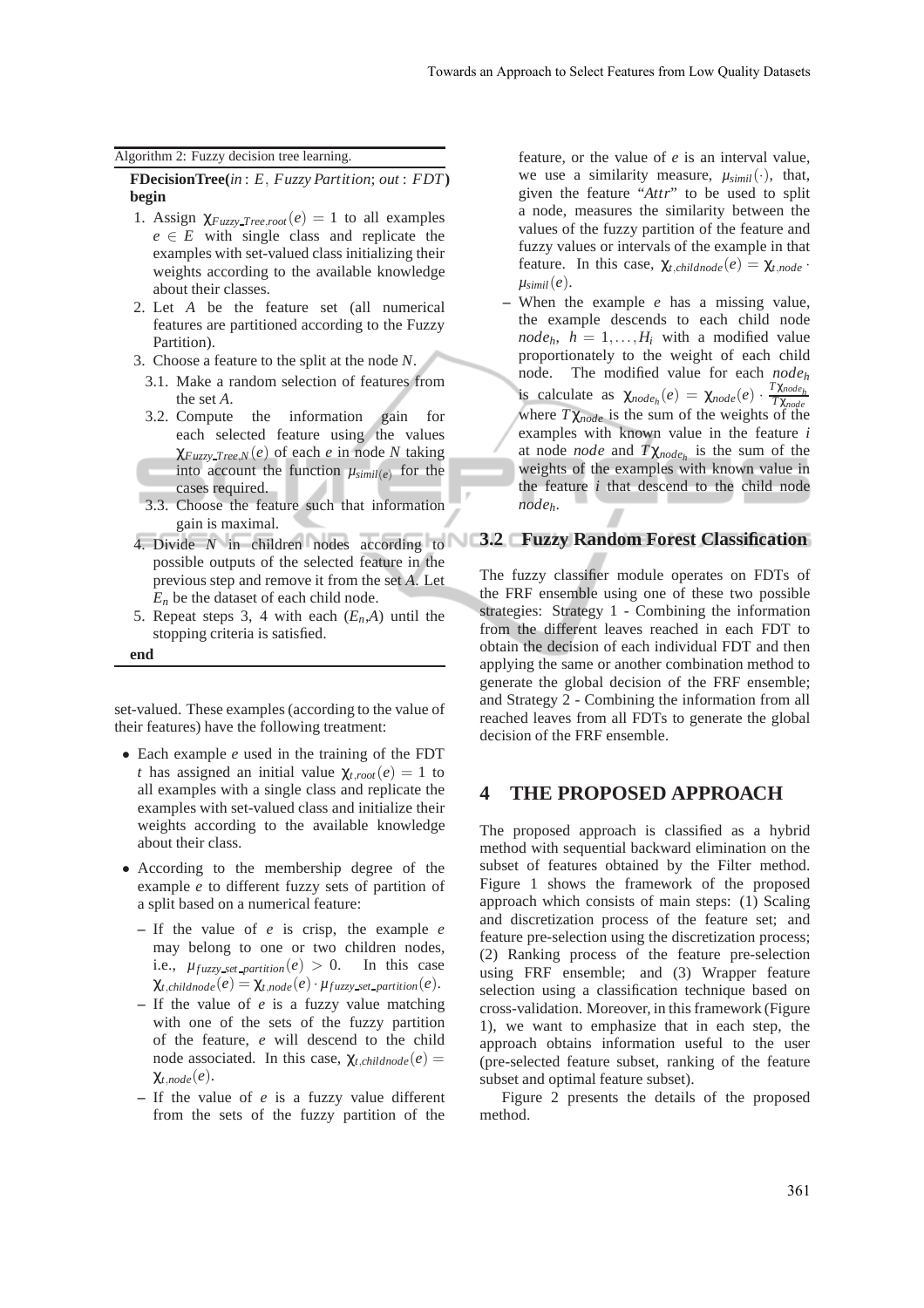| Algorithm 2: Fuzzy decision tree learning. |  |  |  |
|--------------------------------------------|--|--|--|
|                                            |  |  |  |

**FDecisionTree(***in* : *E*, *Fuzzy Partition*; *out* : *FDT***) begin**

- 1. Assign  $\chi_{FuzzyTree, root}(e) = 1$  to all examples  $e \in E$  with single class and replicate the examples with set-valued class initializing their weights according to the available knowledge about their classes.
- 2. Let *A* be the feature set (all numerical features are partitioned according to the Fuzzy Partition).
- 3. Choose a feature to the split at the node *N*.
	- 3.1. Make a random selection of features from the set *A*.
	- 3.2. Compute the information gain for each selected feature using the values χ*Fuzzy Tree*,*N*(*e*) of each *e* in node *N* taking into account the function  $\mu_{simil(e)}$  for the cases required.
- 3.3. Choose the feature such that information gain is maximal.
- possible outputs of the selected feature in the previous step and remove it from the set *A*. Let  $E_n$  be the dataset of each child node.
- 5. Repeat steps 3, 4 with each  $(E_n, A)$  until the stopping criteria is satisfied.

**end**

set-valued. These examples (according to the value of their features) have the following treatment:

- Each example *e* used in the training of the FDT *t* has assigned an initial value  $\chi_{t,root}(e) = 1$  to all examples with a single class and replicate the examples with set-valued class and initialize their weights according to the available knowledge about their class.
- According to the membership degree of the example *e* to different fuzzy sets of partition of a split based on a numerical feature:
	- **–** If the value of *e* is crisp, the example *e* may belong to one or two children nodes, i.e.,  $\mu_{fuzzy{\text{-}set\_partition}}(e) > 0$ . In this case  $\chi_{t,childnode}(e) = \chi_{t,node}(e) \cdot \mu_{fuzzySet\_partition}(e).$
	- **–** If the value of *e* is a fuzzy value matching with one of the sets of the fuzzy partition of the feature, *e* will descend to the child node associated. In this case,  $\chi_{t,childnode}(e)$  =  $\chi_{t,node}(e)$ .
	- **–** If the value of *e* is a fuzzy value different from the sets of the fuzzy partition of the

feature, or the value of *e* is an interval value, we use a similarity measure,  $\mu_{simil}(\cdot)$ , that, given the feature "*Attr*" to be used to split a node, measures the similarity between the values of the fuzzy partition of the feature and fuzzy values or intervals of the example in that feature. In this case,  $\chi_{t,childnode}(e) = \chi_{t,node}$ .  $\mu$ <sub>simil</sub> $(e)$ .

**–** When the example *e* has a missing value, the example descends to each child node *node<sub>h</sub>*,  $h = 1, \ldots, H_i$  with a modified value proportionately to the weight of each child node. The modified value for each *node<sup>h</sup>* is calculate as  $\chi_{node_h}(e) = \chi_{node}(e) \cdot \frac{T\chi_{node_h}}{T\chi_{node}}$ *T*χ*node* where  $T\chi_{node}$  is the sum of the weights of the examples with known value in the feature *i* at node *node* and *T*χ*node<sup>h</sup>* is the sum of the weights of the examples with known value in the feature *i* that descend to the child node *nodeh*.

# 4. Divide *N* in children nodes according to **3.2 Fuzzy Random Forest Classification**

The fuzzy classifier module operates on FDTs of the FRF ensemble using one of these two possible strategies: Strategy 1 - Combining the information from the different leaves reached in each FDT to obtain the decision of each individual FDT and then applying the same or another combination method to generate the global decision of the FRF ensemble; and Strategy 2 - Combining the information from all reached leaves from all FDTs to generate the global decision of the FRF ensemble.

### **4 THE PROPOSED APPROACH**

The proposed approach is classified as a hybrid method with sequential backward elimination on the subset of features obtained by the Filter method. Figure 1 shows the framework of the proposed approach which consists of main steps: (1) Scaling and discretization process of the feature set; and feature pre-selection using the discretization process; (2) Ranking process of the feature pre-selection using FRF ensemble; and (3) Wrapper feature selection using a classification technique based on cross-validation. Moreover, in this framework (Figure 1), we want to emphasize that in each step, the approach obtains information useful to the user (pre-selected feature subset, ranking of the feature subset and optimal feature subset).

Figure 2 presents the details of the proposed method.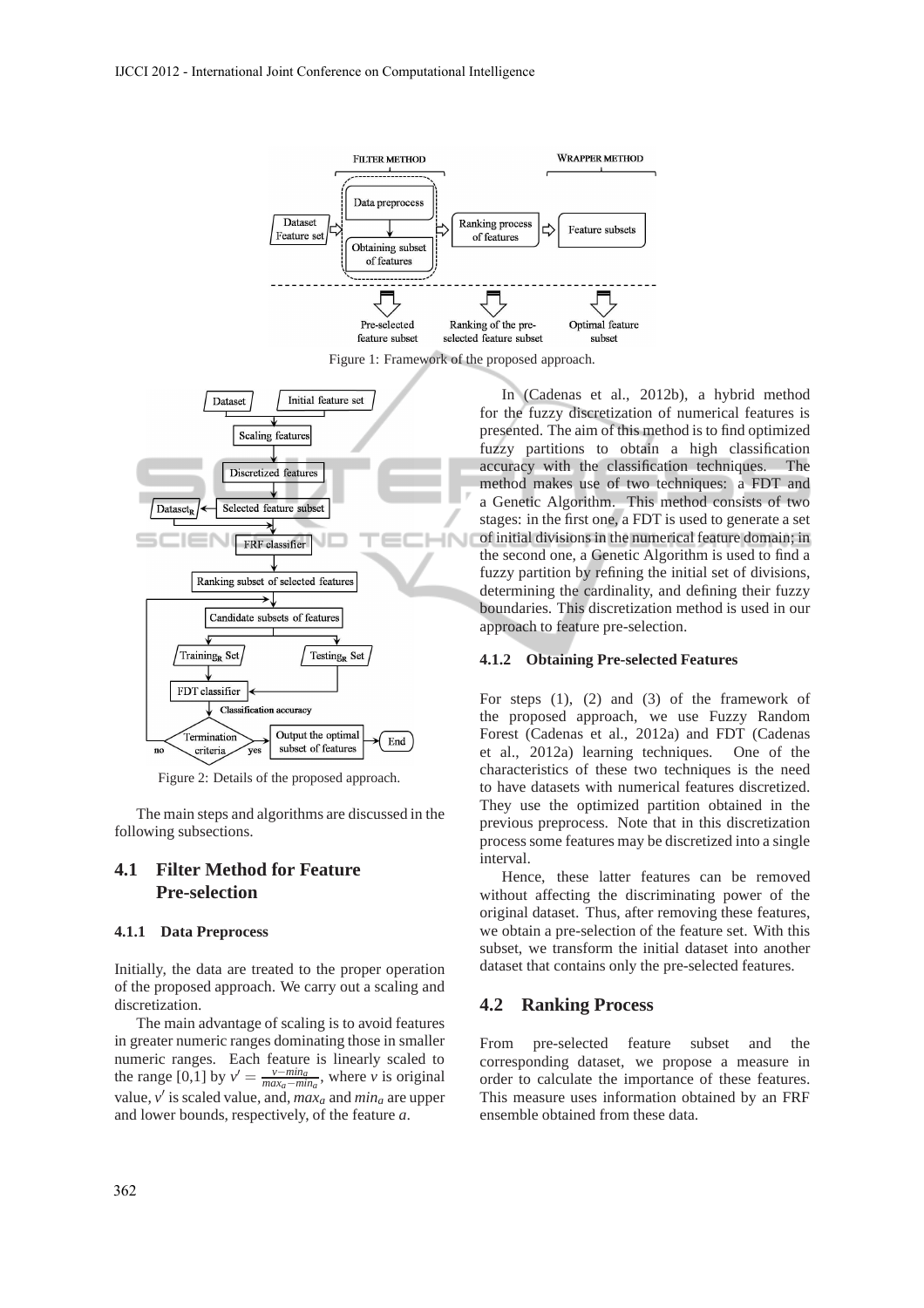

Figure 1: Framework of the proposed approach.



Figure 2: Details of the proposed approach.

The main steps and algorithms are discussed in the following subsections.

## **4.1 Filter Method for Feature Pre-selection**

#### **4.1.1 Data Preprocess**

Initially, the data are treated to the proper operation of the proposed approach. We carry out a scaling and discretization.

The main advantage of scaling is to avoid features in greater numeric ranges dominating those in smaller numeric ranges. Each feature is linearly scaled to the range [0,1] by  $v' = \frac{v - min_a}{max_a - min_a}$ , where *v* is original value, *v* ′ is scaled value, and, *max<sup>a</sup>* and *min<sup>a</sup>* are upper and lower bounds, respectively, of the feature *a*.

In (Cadenas et al., 2012b), a hybrid method for the fuzzy discretization of numerical features is presented. The aim of this method is to find optimized fuzzy partitions to obtain a high classification accuracy with the classification techniques. The method makes use of two techniques: a FDT and a Genetic Algorithm. This method consists of two stages: in the first one, a FDT is used to generate a set of initial divisions in the numerical feature domain; in the second one, a Genetic Algorithm is used to find a fuzzy partition by refining the initial set of divisions, determining the cardinality, and defining their fuzzy boundaries. This discretization method is used in our approach to feature pre-selection.

#### **4.1.2 Obtaining Pre-selected Features**

For steps (1), (2) and (3) of the framework of the proposed approach, we use Fuzzy Random Forest (Cadenas et al., 2012a) and FDT (Cadenas et al., 2012a) learning techniques. One of the characteristics of these two techniques is the need to have datasets with numerical features discretized. They use the optimized partition obtained in the previous preprocess. Note that in this discretization process some features may be discretized into a single interval.

Hence, these latter features can be removed without affecting the discriminating power of the original dataset. Thus, after removing these features, we obtain a pre-selection of the feature set. With this subset, we transform the initial dataset into another dataset that contains only the pre-selected features.

### **4.2 Ranking Process**

From pre-selected feature subset and the corresponding dataset, we propose a measure in order to calculate the importance of these features. This measure uses information obtained by an FRF ensemble obtained from these data.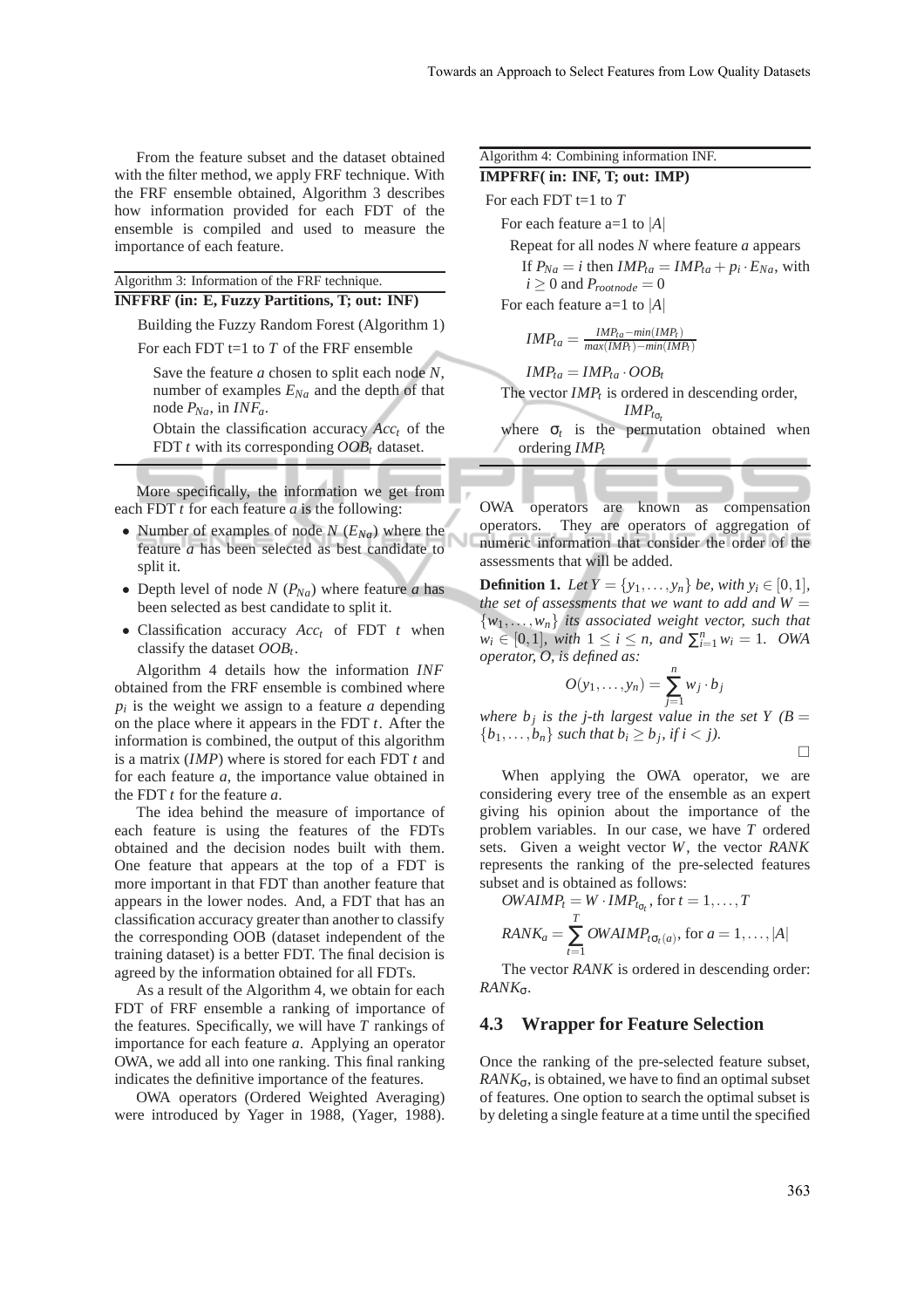From the feature subset and the dataset obtained with the filter method, we apply FRF technique. With the FRF ensemble obtained, Algorithm 3 describes how information provided for each FDT of the ensemble is compiled and used to measure the importance of each feature.

#### Algorithm 3: Information of the FRF technique. **INFFRF (in: E, Fuzzy Partitions, T; out: INF)**

Building the Fuzzy Random Forest (Algorithm 1)

For each FDT  $t=1$  to  $T$  of the FRF ensemble

Save the feature *a* chosen to split each node *N*, number of examples *ENa* and the depth of that node *PNa*, in *INFa*.

Obtain the classification accuracy *Acc<sup>t</sup>* of the FDT  $t$  with its corresponding  $OOB_t$  dataset.

More specifically, the information we get from each FDT *t* for each feature *a* is the following:

- Number of examples of node *N* (*ENa*) where the feature *a* has been selected as best candidate to split it.
- Depth level of node  $N(P_{Na})$  where feature  $a$  has been selected as best candidate to split it.
- Classification accuracy *Acc<sup>t</sup>* of FDT *t* when classify the dataset *OOB<sup>t</sup>* .

Algorithm 4 details how the information *INF* obtained from the FRF ensemble is combined where  $p_i$  is the weight we assign to a feature  $a$  depending on the place where it appears in the FDT *t*. After the information is combined, the output of this algorithm is a matrix (*IMP*) where is stored for each FDT *t* and for each feature *a*, the importance value obtained in the FDT *t* for the feature *a*.

The idea behind the measure of importance of each feature is using the features of the FDTs obtained and the decision nodes built with them. One feature that appears at the top of a FDT is more important in that FDT than another feature that appears in the lower nodes. And, a FDT that has an classification accuracy greater than another to classify the corresponding OOB (dataset independent of the training dataset) is a better FDT. The final decision is agreed by the information obtained for all FDTs.

As a result of the Algorithm 4, we obtain for each FDT of FRF ensemble a ranking of importance of the features. Specifically, we will have *T* rankings of importance for each feature *a*. Applying an operator OWA, we add all into one ranking. This final ranking indicates the definitive importance of the features.

OWA operators (Ordered Weighted Averaging) were introduced by Yager in 1988, (Yager, 1988). Algorithm 4: Combining information INF.

### **IMPFRF( in: INF, T; out: IMP)**

For each FDT t=1 to *T*

For each feature a=1 to |*A*|

Repeat for all nodes *N* where feature *a* appears

If  $P_{Na} = i$  then  $IMP_{ta} = IMP_{ta} + p_i \cdot E_{Na}$ , with  $i \geq 0$  and  $P_{rootnode} = 0$ 

For each feature a=1 to |*A*|

$$
IMP_{ta} = \frac{IMP_{ta} - min(IMP_t)}{max(IMP_t) - min(IMP_t)}
$$

 $IMP_{ta} = IMP_{ta} \cdot OOB_t$ 

The vector *IMP<sup>t</sup>* is ordered in descending order,  $IMP_{t_{\sigma_t}}$ 

where  $\sigma_t$  is the permutation obtained when ordering *IMP<sup>t</sup>*

OWA operators are known as compensation operators. They are operators of aggregation of numeric information that consider the order of the assessments that will be added.

**Definition 1.** *Let*  $Y = \{y_1, \ldots, y_n\}$  *be, with*  $y_i \in [0, 1]$ *, the set of assessments that we want to add and*  $W =$ {*w*1,...,*wn*} *its associated weight vector, such that*  $w_i \in [0,1]$ *, with*  $1 \le i \le n$ *, and*  $\sum_{i=1}^n w_i = 1$ *. OWA operator, O, is defined as:*

$$
O(y_1,\ldots,y_n)=\sum_{j=1}^n w_j \cdot b_j
$$

*where*  $b_j$  *is the j-th largest value in the set Y (B =*  $\frac{b_j - b_j}{a_j}$  *is the j-th largest value in the set Y (B =*  $\frac{c_j - c_j}{b_j}$ *)*  ${b_1, \ldots, b_n}$  *such that*  $b_i \ge b_j$ *, if*  $i < j$ *).* 

 $\Box$ 

When applying the OWA operator, we are considering every tree of the ensemble as an expert giving his opinion about the importance of the problem variables. In our case, we have *T* ordered sets. Given a weight vector *W*, the vector *RANK* represents the ranking of the pre-selected features subset and is obtained as follows:

$$
OWAIMP_t = W \cdot IMP_{t_{\sigma_t}}, \text{ for } t = 1, ..., T
$$
  
\n
$$
RANK_a = \sum_{t=1}^{T} OWAIMP_{t_{\sigma_t}(a)}, \text{ for } a = 1, ..., |A|
$$

The vector *RANK* is ordered in descending order: *RANK*σ.

#### **4.3 Wrapper for Feature Selection**

Once the ranking of the pre-selected feature subset,  $RANK_{\sigma}$ , is obtained, we have to find an optimal subset of features. One option to search the optimal subset is by deleting a single feature at a time until the specified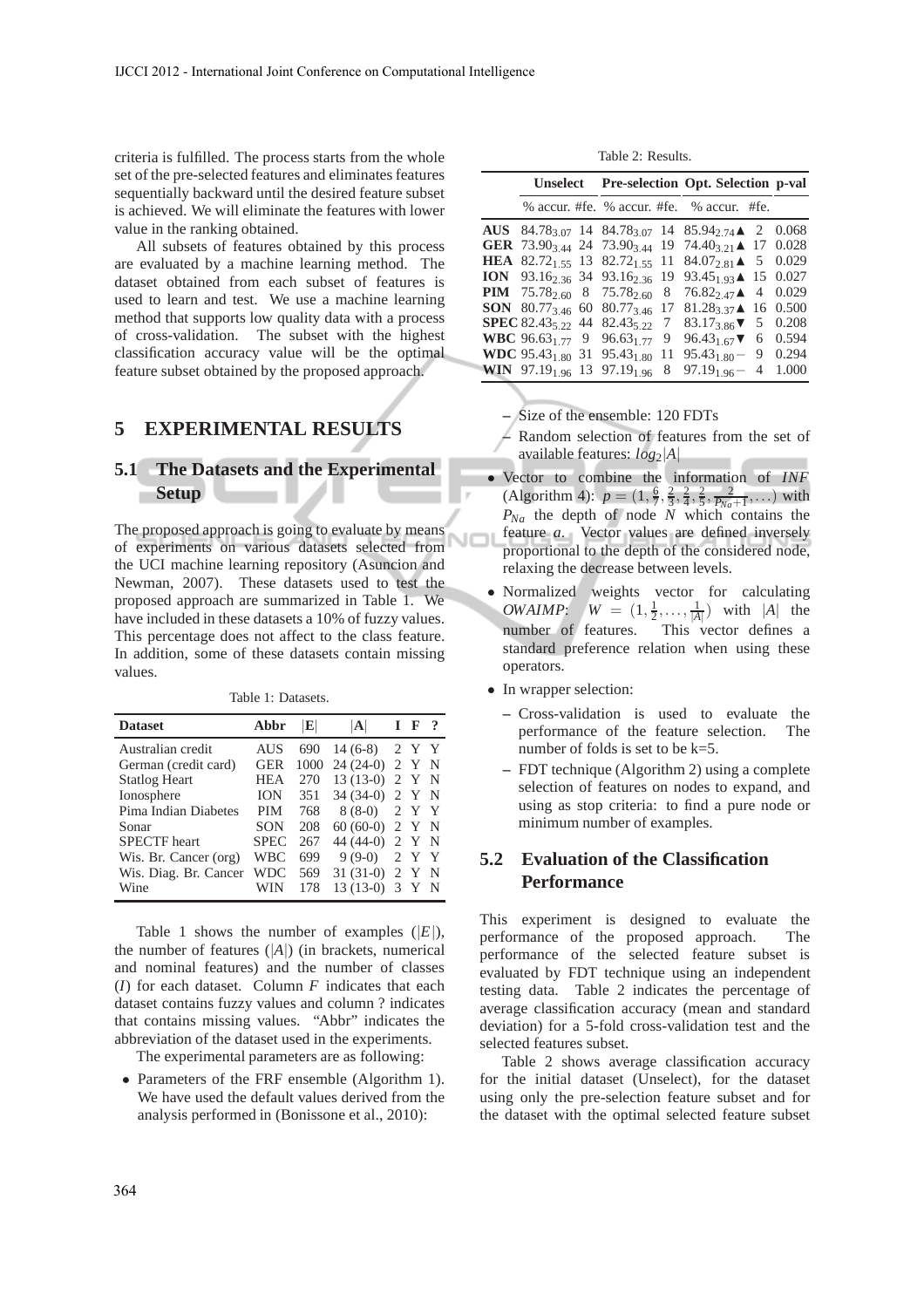criteria is fulfilled. The process starts from the whole set of the pre-selected features and eliminates features sequentially backward until the desired feature subset is achieved. We will eliminate the features with lower value in the ranking obtained.

All subsets of features obtained by this process are evaluated by a machine learning method. The dataset obtained from each subset of features is used to learn and test. We use a machine learning method that supports low quality data with a process of cross-validation. The subset with the highest classification accuracy value will be the optimal feature subset obtained by the proposed approach.

## **5 EXPERIMENTAL RESULTS**

## **5.1 The Datasets and the Experimental Setup**

The proposed approach is going to evaluate by means of experiments on various datasets selected from the UCI machine learning repository (Asuncion and Newman, 2007). These datasets used to test the proposed approach are summarized in Table 1. We have included in these datasets a 10% of fuzzy values. This percentage does not affect to the class feature. In addition, some of these datasets contain missing values.

Table 1: Datasets.

| <b>Dataset</b>        | Abbr        | $\left  \mathbf{E} \right $ | A                | ΙF    | ? |
|-----------------------|-------------|-----------------------------|------------------|-------|---|
| Australian credit     | <b>AUS</b>  | 690                         | $14(6-8)$ 2 Y    |       | Y |
| German (credit card)  | <b>GER</b>  | 1000                        | $24(24-0)$       | 2 Y N |   |
| <b>Statlog Heart</b>  | HEA         | 270                         | $13(13-0)$       | 2 Y N |   |
| Ionosphere            | <b>ION</b>  | 351                         | 34 (34-0) 2 Y N  |       |   |
| Pima Indian Diabetes  | <b>PIM</b>  | 768                         | $8(8-0)$         | 2 Y Y |   |
| Sonar                 | SON         | 208                         | $60(60-0)$ 2 Y N |       |   |
| <b>SPECTF</b> heart   | <b>SPEC</b> | 267                         | 44 (44-0) 2 Y N  |       |   |
| Wis. Br. Cancer (org) | WBC         | 699                         | $9(9-0)$         | 2 Y Y |   |
| Wis. Diag. Br. Cancer | WDC         | 569                         | $31(31-0)$ 2 Y N |       |   |
| Wine                  | WIN         | 178                         | $13(13-0)$ 3 Y N |       |   |

Table 1 shows the number of examples  $(|E|)$ , the number of features (|*A*|) (in brackets, numerical and nominal features) and the number of classes (*I*) for each dataset. Column *F* indicates that each dataset contains fuzzy values and column ? indicates that contains missing values. "Abbr" indicates the abbreviation of the dataset used in the experiments.

The experimental parameters are as following:

• Parameters of the FRF ensemble (Algorithm 1). We have used the default values derived from the analysis performed in (Bonissone et al., 2010):

Table 2: Results.

|                                                            |                                                              | Unselect Pre-selection Opt. Selection p-val                                                |       |
|------------------------------------------------------------|--------------------------------------------------------------|--------------------------------------------------------------------------------------------|-------|
|                                                            |                                                              | % accur. #fe. % accur. #fe. % accur. #fe.                                                  |       |
|                                                            |                                                              | <b>AUS</b> 84.78 <sub>3.07</sub> 14 84.78 <sub>3.07</sub> 14 85.94 <sub>2.74</sub> 2 0.068 |       |
|                                                            |                                                              | GER 73.90 <sub>3</sub> 44 24 73.90 <sub>3</sub> 44 19 74.40 <sub>3 21</sub> 17 0.028       |       |
|                                                            | <b>HEA</b> 82.72 <sub>1.55</sub> 13 82.72 <sub>1.55</sub> 11 | 84.07 <sub>2.81</sub> $\triangle$ 5 0.029                                                  |       |
|                                                            | ION $93.16_{2.36}$ 34 $93.16_{2.36}$ 19                      | 93.45 <sub>1.93</sub> 15 0.027                                                             |       |
| <b>PIM</b> $75.78_{2.60}$ 8 $75.78_{2.60}$                 | - 8                                                          | 76.82 <sub>2.47</sub> 4 0.029                                                              |       |
| <b>SON</b> 80.77 <sub>3.46</sub> 60 80.77 <sub>3.46</sub>  | 17                                                           | 81.28 <sub>3</sub> 37 <b>4</b> 16 0.500                                                    |       |
| <b>SPEC</b> 82.43 <sub>5.22</sub> 44 82.43 <sub>5.22</sub> | 7                                                            | 83.17 <sub>3.86</sub> $\blacktriangledown$ 5                                               | 0.208 |
| <b>WBC</b> 96.63 <sub>1.77</sub> 9 96.63 <sub>1.77</sub>   | 9                                                            | 96.43 <sub>1.67</sub> $\bullet$ 6                                                          | 0.594 |
| <b>WDC</b> 95.43 <sub>1.80</sub> 31 95.43 <sub>1.80</sub>  | 11                                                           | $95.43_{1.80} - 9$ 0.294                                                                   |       |
| WIN 97.19 <sub>1.96</sub> 13 97.19 <sub>1.96</sub>         | 8                                                            | 97.19 <sub>1.96</sub> - 4                                                                  | 1.000 |

**–** Size of the ensemble: 120 FDTs

- **–** Random selection of features from the set of available features: *log*2|*A*|
- Vector to combine the information of *INF* (Algorithm 4):  $p = (1, \frac{6}{7}, \frac{2}{3}, \frac{2}{4}, \frac{2}{5}, \frac{2}{P_{Na}+1}, \ldots)$  with *PNa* the depth of node *N* which contains the feature *a*. Vector values are defined inversely proportional to the depth of the considered node, relaxing the decrease between levels.
- Normalized weights vector for calculating *OWAIMP*:  $W = (1, \frac{1}{2}, \dots, \frac{1}{|A|})$  with |*A*| the number of features. This vector defines a standard preference relation when using these operators.
- In wrapper selection:
	- **–** Cross-validation is used to evaluate the performance of the feature selection. The number of folds is set to be k=5.
	- **–** FDT technique (Algorithm 2) using a complete selection of features on nodes to expand, and using as stop criteria: to find a pure node or minimum number of examples.

## **5.2 Evaluation of the Classification Performance**

This experiment is designed to evaluate the performance of the proposed approach. The performance of the selected feature subset is evaluated by FDT technique using an independent testing data. Table 2 indicates the percentage of average classification accuracy (mean and standard deviation) for a 5-fold cross-validation test and the selected features subset.

Table 2 shows average classification accuracy for the initial dataset (Unselect), for the dataset using only the pre-selection feature subset and for the dataset with the optimal selected feature subset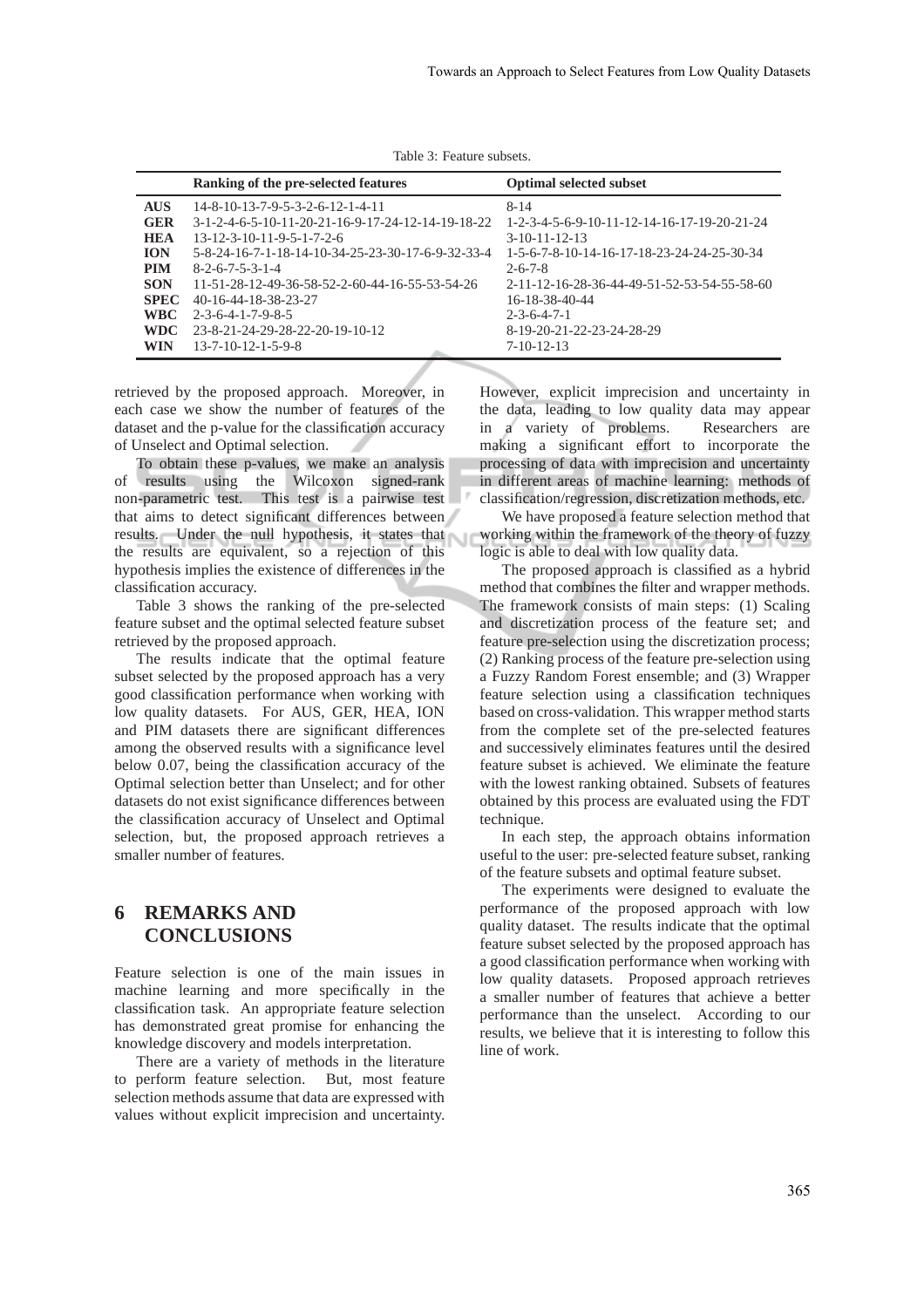|             | Ranking of the pre-selected features                | <b>Optimal selected subset</b>              |
|-------------|-----------------------------------------------------|---------------------------------------------|
| <b>AUS</b>  | $14-8-10-13-7-9-5-3-2-6-12-1-4-11$                  | $8 - 14$                                    |
| <b>GER</b>  | $3-1-2-4-6-5-10-11-20-21-16-9-17-24-12-14-19-18-22$ | 1-2-3-4-5-6-9-10-11-12-14-16-17-19-20-21-24 |
| <b>HEA</b>  | $13 - 12 - 3 - 10 - 11 - 9 - 5 - 1 - 7 - 2 - 6$     | $3 - 10 - 11 - 12 - 13$                     |
| <b>ION</b>  | 5-8-24-16-7-1-18-14-10-34-25-23-30-17-6-9-32-33-4   | 1-5-6-7-8-10-14-16-17-18-23-24-24-25-30-34  |
| <b>PIM</b>  | $8 - 2 - 6 - 7 - 5 - 3 - 1 - 4$                     | $2 - 6 - 7 - 8$                             |
| <b>SON</b>  | 11-51-28-12-49-36-58-52-2-60-44-16-55-53-54-26      | 2-11-12-16-28-36-44-49-51-52-53-54-55-58-60 |
| <b>SPEC</b> | 40-16-44-18-38-23-27                                | 16-18-38-40-44                              |
| <b>WBC</b>  | $2 - 3 - 6 - 4 - 1 - 7 - 9 - 8 - 5$                 | $2 - 3 - 6 - 4 - 7 - 1$                     |
| <b>WDC</b>  | 23-8-21-24-29-28-22-20-19-10-12                     | 8-19-20-21-22-23-24-28-29                   |
| <b>WIN</b>  | $13 - 7 - 10 - 12 - 1 - 5 - 9 - 8$                  | $7 - 10 - 12 - 13$                          |
|             |                                                     |                                             |

Table 3: Feature subsets.

retrieved by the proposed approach. Moreover, in each case we show the number of features of the dataset and the p-value for the classification accuracy of Unselect and Optimal selection.

To obtain these p-values, we make an analysis of results using the Wilcoxon signed-rank non-parametric test. This test is a pairwise test that aims to detect significant differences between results. Under the null hypothesis, it states that the results are equivalent, so a rejection of this hypothesis implies the existence of differences in the classification accuracy.

Table 3 shows the ranking of the pre-selected feature subset and the optimal selected feature subset retrieved by the proposed approach.

The results indicate that the optimal feature subset selected by the proposed approach has a very good classification performance when working with low quality datasets. For AUS, GER, HEA, ION and PIM datasets there are significant differences among the observed results with a significance level below 0.07, being the classification accuracy of the Optimal selection better than Unselect; and for other datasets do not exist significance differences between the classification accuracy of Unselect and Optimal selection, but, the proposed approach retrieves a smaller number of features.

# **6 REMARKS AND CONCLUSIONS**

Feature selection is one of the main issues in machine learning and more specifically in the classification task. An appropriate feature selection has demonstrated great promise for enhancing the knowledge discovery and models interpretation.

There are a variety of methods in the literature to perform feature selection. But, most feature selection methods assume that data are expressed with values without explicit imprecision and uncertainty. However, explicit imprecision and uncertainty in the data, leading to low quality data may appear in a variety of problems. Researchers are making a significant effort to incorporate the processing of data with imprecision and uncertainty in different areas of machine learning: methods of classification/regression, discretization methods, etc.

We have proposed a feature selection method that working within the framework of the theory of fuzzy logic is able to deal with low quality data.

The proposed approach is classified as a hybrid method that combines the filter and wrapper methods. The framework consists of main steps: (1) Scaling and discretization process of the feature set; and feature pre-selection using the discretization process; (2) Ranking process of the feature pre-selection using a Fuzzy Random Forest ensemble; and (3) Wrapper feature selection using a classification techniques based on cross-validation. This wrapper method starts from the complete set of the pre-selected features and successively eliminates features until the desired feature subset is achieved. We eliminate the feature with the lowest ranking obtained. Subsets of features obtained by this process are evaluated using the FDT technique.

In each step, the approach obtains information useful to the user: pre-selected feature subset, ranking of the feature subsets and optimal feature subset.

The experiments were designed to evaluate the performance of the proposed approach with low quality dataset. The results indicate that the optimal feature subset selected by the proposed approach has a good classification performance when working with low quality datasets. Proposed approach retrieves a smaller number of features that achieve a better performance than the unselect. According to our results, we believe that it is interesting to follow this line of work.